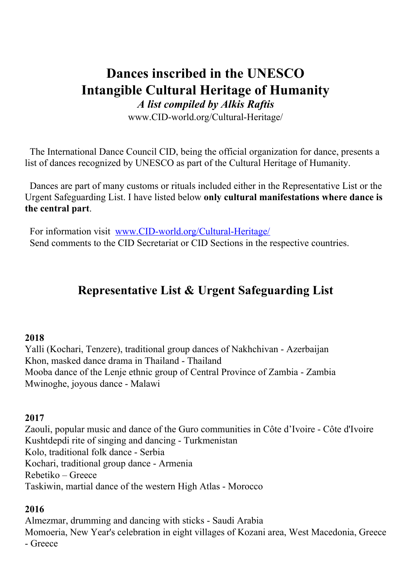# **Dances inscribed in the UNESCO Intangible Cultural Heritage of Humanity**

*A list compiled by Alkis Raftis*

www.CID-world.org/Cultural-Heritage/

The International Dance Council CID, being the official organization for dance, presents a list of dances recognized by UNESCO as part of the Cultural Heritage of Humanity.

Dances are part of many customs or rituals included either in the Representative List or the Urgent Safeguarding List. I have listed below **only cultural manifestations where dance is the central part**.

For information visit [www.CID-world.org/Cultural-Heritage/](http://www.cid-world.org/Cultural-Heritage/) Send comments to the CID Secretariat or CID Sections in the respective countries.

## **Representative List & Urgent Safeguarding List**

#### **2018**

Yalli (Kochari, Tenzere), traditional group dances of Nakhchivan - Azerbaijan Khon, masked dance drama in Thailand - Thailand Mooba dance of the Lenje ethnic group of Central Province of Zambia - Zambia Mwinoghe, joyous dance - Malawi

#### **2017**

Zaouli, popular music and dance of the Guro communities in Côte d'Ivoire - Côte d'Ivoire Kushtdepdi rite of singing and dancing - Turkmenistan Kolo, traditional folk dance - Serbia Kochari, traditional group dance - Armenia Rebetiko – Greece Taskiwin, martial dance of the western High Atlas - Morocco

#### **2016**

Almezmar, drumming and dancing with sticks - Saudi Arabia Momoeria, New Year's celebration in eight villages of Kozani area, West Macedonia, Greece - Greece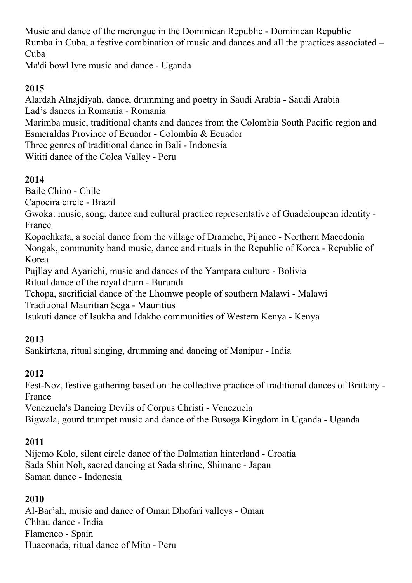Music and dance of the merengue in the Dominican Republic - Dominican Republic Rumba in Cuba, a festive combination of music and dances and all the practices associated – Cuba

Ma'di bowl lyre music and dance - Uganda

### **2015**

Alardah Alnajdiyah, dance, drumming and poetry in Saudi Arabia - Saudi Arabia Lad's dances in Romania - Romania Marimba music, traditional chants and dances from the Colombia South Pacific region and Esmeraldas Province of Ecuador - Colombia & Ecuador Three genres of traditional dance in Bali - Indonesia Wititi dance of the Colca Valley - Peru

#### **2014**

Baile Chino - Chile

Capoeira circle - Brazil

Gwoka: music, song, dance and cultural practice representative of Guadeloupean identity - France

Kopachkata, a social dance from the village of Dramche, Pijanec - Northern Macedonia Nongak, community band music, dance and rituals in the Republic of Korea - Republic of Korea

Pujllay and Ayarichi, music and dances of the Yampara culture - Bolivia Ritual dance of the royal drum - Burundi

Tchopa, sacrificial dance of the Lhomwe people of southern Malawi - Malawi Traditional Mauritian Sega - Mauritius

Isukuti dance of Isukha and Idakho communities of Western Kenya - Kenya

#### **2013**

Sankirtana, ritual singing, drumming and dancing of Manipur - India

#### **2012**

Fest-Noz, festive gathering based on the collective practice of traditional dances of Brittany - France

Venezuela's Dancing Devils of Corpus Christi - Venezuela Bigwala, gourd trumpet music and dance of the Busoga Kingdom in Uganda - Uganda

#### **2011**

Nijemo Kolo, silent circle dance of the Dalmatian hinterland - Croatia Sada Shin Noh, sacred dancing at Sada shrine, Shimane - Japan Saman dance - Indonesia

#### **2010**

Al-Bar'ah, music and dance of Oman Dhofari valleys - Oman Chhau dance - India Flamenco - Spain Huaconada, ritual dance of Mito - Peru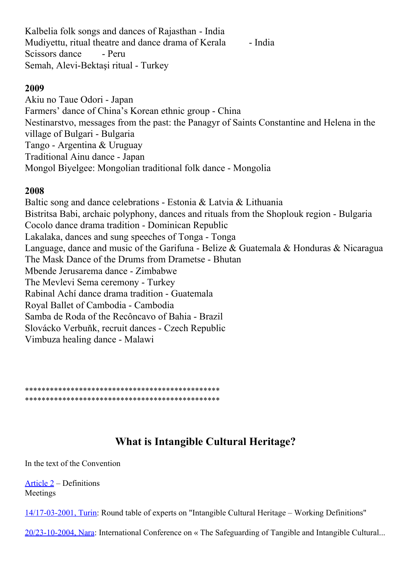Kalbelia folk songs and dances of Rajasthan - India Mudivettu, ritual theatre and dance drama of Kerala - India Scissors dance - Peru Semah, Alevi-Bektaşi ritual - Turkey

#### **2009**

Akiu no Taue Odori - Japan Farmers' dance of China's Korean ethnic group - China Nestinarstvo, messages from the past: the Panagyr of Saints Constantine and Helena in the village of Bulgari - Bulgaria Tango - Argentina & Uruguay Traditional Ainu dance - Japan Mongol Biyelgee: Mongolian traditional folk dance - Mongolia

#### **2008**

Baltic song and dance celebrations - Estonia & Latvia & Lithuania Bistritsa Babi, archaic polyphony, dances and rituals from the Shoplouk region - Bulgaria Cocolo dance drama tradition - Dominican Republic Lakalaka, dances and sung speeches of Tonga - Tonga Language, dance and music of the Garifuna - Belize & Guatemala & Honduras & Nicaragua The Mask Dance of the Drums from Drametse - Bhutan Mbende Jerusarema dance - Zimbabwe The Mevlevi Sema ceremony - Turkey Rabinal Achí dance drama tradition - Guatemala Royal Ballet of Cambodia - Cambodia Samba de Roda of the Recôncavo of Bahia - Brazil Slovácko Verbuňk, recruit dances - Czech Republic Vimbuza healing dance - Malawi

\*\*\*\*\*\*\*\*\*\*\*\*\*\*\*\*\*\*\*\*\*\*\*\*\*\*\*\*\*\*\*\*\*\*\*\*\*\*\*\*\*\*\*\*\*\*\* \*\*\*\*\*\*\*\*\*\*\*\*\*\*\*\*\*\*\*\*\*\*\*\*\*\*\*\*\*\*\*\*\*\*\*\*\*\*\*\*\*\*\*\*\*\*\*

## **What is Intangible Cultural Heritage?**

In the text of the Convention

[Article 2](http://www.unesco.org/culture/ich/index.php?pg=00022&art=art2#art2) – Definitions Meetings

[14/17-03-2001, Turin](http://www.unesco.org/culture/ich/?meeting_id=00057): Round table of experts on "Intangible Cultural Heritage – Working Definitions"

[20/23-10-2004, Nara:](http://www.unesco.org/culture/ich/?meeting_id=00047) International Conference on « The Safeguarding of Tangible and Intangible Cultural...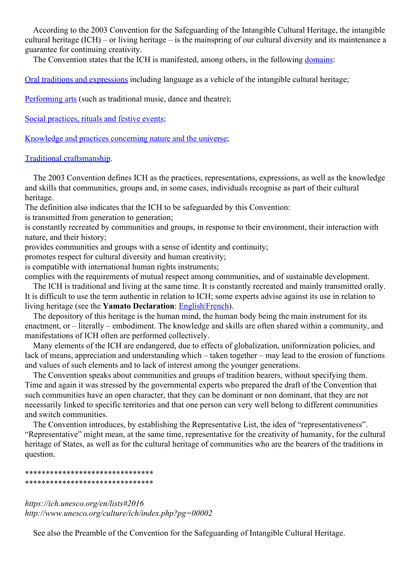According to the 2003 Convention for the Safeguarding of the Intangible Cultural Heritage, the intangible cultural heritage (ICH) – or living heritage – is the mainspring of our cultural diversity and its maintenance a guarantee for continuing creativity.

The Convention states that the ICH is manifested, among others, in the following [domains:](http://www.unesco.org/culture/ich/?pg=52)

[Oral traditions and expressions](http://www.unesco.org/culture/ich/?pg=53) including language as a vehicle of the intangible cultural heritage;

[Performing arts](http://www.unesco.org/culture/ich/?pg=54) (such as traditional music, dance and theatre);

[Social practices, rituals and festive events](http://www.unesco.org/culture/ich/?pg=55);

[Knowledge and practices concerning nature and the universe;](http://www.unesco.org/culture/ich/?pg=56)

#### [Traditional craftsmanship.](http://www.unesco.org/culture/ich/?pg=57)

 The 2003 Convention defines ICH as the practices, representations, expressions, as well as the knowledge and skills that communities, groups and, in some cases, individuals recognise as part of their cultural heritage.

The definition also indicates that the ICH to be safeguarded by this Convention:

is transmitted from generation to generation;

is constantly recreated by communities and groups, in response to their environment, their interaction with nature, and their history;

provides communities and groups with a sense of identity and continuity;

promotes respect for cultural diversity and human creativity;

is compatible with international human rights instruments;

complies with the requirements of mutual respect among communities, and of sustainable development. The ICH is traditional and living at the same time. It is constantly recreated and mainly transmitted orally. It is difficult to use the term authentic in relation to ICH; some experts advise against its use in relation to living heritage (see the **Yamato Declaration**: [English|](http://unesdoc.unesco.org/images/0013/001376/137634e.pdf)[French](http://unesdoc.unesco.org/images/0013/001376/137634f.pdf)).

 The depository of this heritage is the human mind, the human body being the main instrument for its enactment, or – literally – embodiment. The knowledge and skills are often shared within a community, and manifestations of ICH often are performed collectively.

 Many elements of the ICH are endangered, due to effects of globalization, uniformization policies, and lack of means, appreciation and understanding which – taken together – may lead to the erosion of functions and values of such elements and to lack of interest among the younger generations.

 The Convention speaks about communities and groups of tradition bearers, without specifying them. Time and again it was stressed by the governmental experts who prepared the draft of the Convention that such communities have an open character, that they can be dominant or non dominant, that they are not necessarily linked to specific territories and that one person can very well belong to different communities and switch communities.

 The Convention introduces, by establishing the Representative List, the idea of "representativeness". "Representative" might mean, at the same time, representative for the creativity of humanity, for the cultural heritage of States, as well as for the cultural heritage of communities who are the bearers of the traditions in question.

#### \*\*\*\*\*\*\*\*\*\*\*\*\*\*\*\*\*\*\*\*\*\*\*\*\*\*\*\*\*\*\* \*\*\*\*\*\*\*\*\*\*\*\*\*\*\*\*\*\*\*\*\*\*\*\*\*\*\*\*\*\*\*

*https://ich.unesco.org/en/lists#2016 http://www.unesco.org/culture/ich/index.php?pg=00002*

See also the Preamble of the Convention for the Safeguarding of Intangible Cultural Heritage.